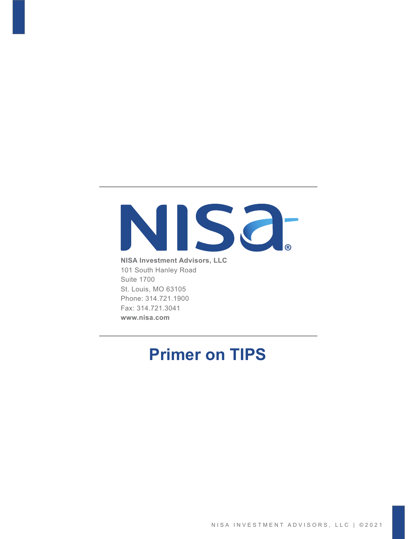# NISO.

**NISA Investment Advisors, LLC** 101 South Hanley Road Suite 1700 St. Louis, MO 63105 Phone: 314.721.1900 Fax: 314.721.3041 **www.nisa.com**

### **Primer on TIPS**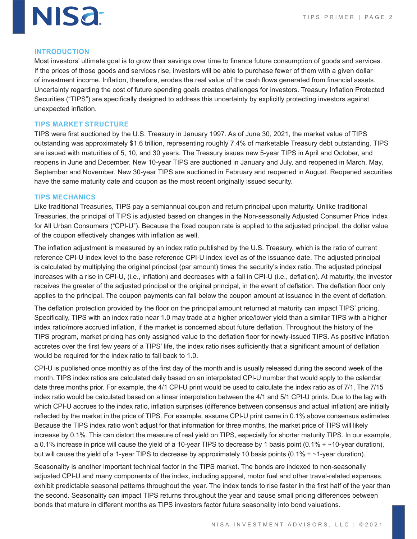

#### **INTRODUCTION**

Most investors' ultimate goal is to grow their savings over time to finance future consumption of goods and services. If the prices of those goods and services rise, investors will be able to purchase fewer of them with a given dollar of investment income. Inflation, therefore, erodes the real value of the cash flows generated from financial assets. Uncertainty regarding the cost of future spending goals creates challenges for investors. Treasury Inflation Protected Securities ("TIPS") are specifically designed to address this uncertainty by explicitly protecting investors against unexpected inflation.

#### **TIPS MARKET STRUCTURE**

TIPS were first auctioned by the U.S. Treasury in January 1997. As of June 30, 2021, the market value of TIPS outstanding was approximately \$1.6 trillion, representing roughly 7.4% of marketable Treasury debt outstanding. TIPS are issued with maturities of 5, 10, and 30 years. The Treasury issues new 5-year TIPS in April and October, and reopens in June and December. New 10-year TIPS are auctioned in January and July, and reopened in March, May, September and November. New 30-year TIPS are auctioned in February and reopened in August. Reopened securities have the same maturity date and coupon as the most recent originally issued security.

#### **TIPS MECHANICS**

Like traditional Treasuries, TIPS pay a semiannual coupon and return principal upon maturity. Unlike traditional Treasuries, the principal of TIPS is adjusted based on changes in the Non-seasonally Adjusted Consumer Price Index for All Urban Consumers ("CPI-U"). Because the fixed coupon rate is applied to the adjusted principal, the dollar value of the coupon effectively changes with inflation as well.

The inflation adjustment is measured by an index ratio published by the U.S. Treasury, which is the ratio of current reference CPI-U index level to the base reference CPI-U index level as of the issuance date. The adjusted principal is calculated by multiplying the original principal (par amount) times the security's index ratio. The adjusted principal increases with a rise in CPI-U, (i.e., inflation) and decreases with a fall in CPI-U (i.e., deflation). At maturity, the investor receives the greater of the adjusted principal or the original principal, in the event of deflation. The deflation floor only applies to the principal. The coupon payments can fall below the coupon amount at issuance in the event of deflation.

The deflation protection provided by the floor on the principal amount returned at maturity can impact TIPS' pricing. Specifically, TIPS with an index ratio near 1.0 may trade at a higher price/lower yield than a similar TIPS with a higher index ratio/more accrued inflation, if the market is concerned about future deflation. Throughout the history of the TIPS program, market pricing has only assigned value to the deflation floor for newly-issued TIPS. As positive inflation accretes over the first few years of a TIPS' life, the index ratio rises sufficiently that a significant amount of deflation would be required for the index ratio to fall back to 1.0.

CPI-U is published once monthly as of the first day of the month and is usually released during the second week of the month. TIPS index ratios are calculated daily based on an interpolated CPI-U number that would apply to the calendar date three months prior. For example, the 4/1 CPI-U print would be used to calculate the index ratio as of 7/1. The 7/15 index ratio would be calculated based on a linear interpolation between the 4/1 and 5/1 CPI-U prints. Due to the lag with which CPI-U accrues to the index ratio, inflation surprises (difference between consensus and actual inflation) are initially reflected by the market in the price of TIPS. For example, assume CPI-U print came in 0.1% above consensus estimates. Because the TIPS index ratio won't adjust for that information for three months, the market price of TIPS will likely increase by 0.1%. This can distort the measure of real yield on TIPS, especially for shorter maturity TIPS. In our example, a 0.1% increase in price will cause the yield of a 10-year TIPS to decrease by 1 basis point  $(0.1\% \div \sim 10$ -year duration), but will cause the yield of a 1-year TIPS to decrease by approximately 10 basis points (0.1%  $\div$  ~1-year duration).

Seasonality is another important technical factor in the TIPS market. The bonds are indexed to non-seasonally adjusted CPI-U and many components of the index, including apparel, motor fuel and other travel-related expenses, exhibit predictable seasonal patterns throughout the year. The index tends to rise faster in the first half of the year than the second. Seasonality can impact TIPS returns throughout the year and cause small pricing differences between bonds that mature in different months as TIPS investors factor future seasonality into bond valuations.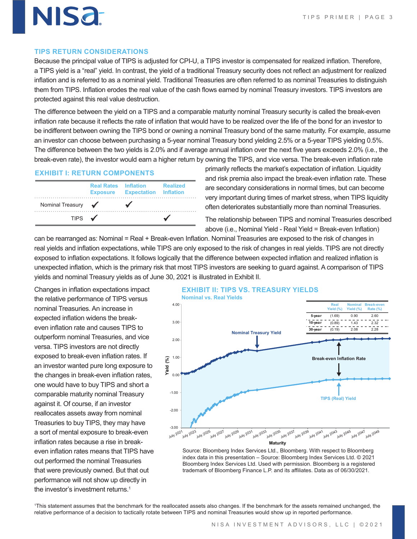#### **TIPS RETURN CONSIDERATIONS**

NISƏ.

Because the principal value of TIPS is adjusted for CPI-U, a TIPS investor is compensated for realized inflation. Therefore, a TIPS yield is a "real" yield. In contrast, the yield of a traditional Treasury security does not reflect an adjustment for realized inflation and is referred to as a nominal yield. Traditional Treasuries are often referred to as nominal Treasuries to distinguish them from TIPS. Inflation erodes the real value of the cash flows earned by nominal Treasury investors. TIPS investors are protected against this real value destruction.

The difference between the yield on a TIPS and a comparable maturity nominal Treasury security is called the break-even inflation rate because it reflects the rate of inflation that would have to be realized over the life of the bond for an investor to be indifferent between owning the TIPS bond or owning a nominal Treasury bond of the same maturity. For example, assume an investor can choose between purchasing a 5-year nominal Treasury bond yielding 2.5% or a 5-year TIPS yielding 0.5%. The difference between the two yields is 2.0% and if average annual inflation over the next five years exceeds 2.0% (i.e., the break-even rate), the investor would earn a higher return by owning the TIPS, and vice versa. The break-even inflation rate

#### **EXHIBIT I: RETURN COMPONENTS**

|                   | <b>Real Rates Inflation</b> | <b>Exposure Expectation Inflation</b> | <b>Realized</b> |
|-------------------|-----------------------------|---------------------------------------|-----------------|
| Nominal Treasury  | $\sqrt{2}$                  |                                       |                 |
| TIPS $\checkmark$ |                             |                                       |                 |

primarily reflects the market's expectation of inflation. Liquidity and risk premia also impact the break-even inflation rate. These are secondary considerations in normal times, but can become very important during times of market stress, when TIPS liquidity often deteriorates substantially more than nominal Treasuries.

The relationship between TIPS and nominal Treasuries described above (i.e., Nominal Yield - Real Yield = Break-even Inflation)

can be rearranged as: Nominal = Real + Break-even Inflation. Nominal Treasuries are exposed to the risk of changes in real yields and inflation expectations, while TIPS are only exposed to the risk of changes in real yields. TIPS are not directly exposed to inflation expectations. It follows logically that the difference between expected inflation and realized inflation is unexpected inflation, which is the primary risk that most TIPS investors are seeking to guard against. A comparison of TIPS yields and nominal Treasury yields as of June 30, 2021 is illustrated in Exhibit II.

Changes in inflation expectations impact the relative performance of TIPS versus nominal Treasuries. An increase in expected inflation widens the breakeven inflation rate and causes TIPS to outperform nominal Treasuries, and vice versa. TIPS investors are not directly exposed to break-even inflation rates. If an investor wanted pure long exposure to the changes in break-even inflation rates, one would have to buy TIPS and short a comparable maturity nominal Treasury against it. Of course, if an investor reallocates assets away from nominal Treasuries to buy TIPS, they may have a sort of mental exposure to break-even inflation rates because a rise in breakeven inflation rates means that TIPS have out performed the nominal Treasuries that were previously owned. But that out performance will not show up directly in the investor's investment returns.<sup>1</sup>





Source: Bloomberg Index Services Ltd., Bloomberg. With respect to Bloomberg index data in this presentation – Source: Bloomberg Index Services Ltd. © 2021 Bloomberg Index Services Ltd. Used with permission. Bloomberg is a registered trademark of Bloomberg Finance L.P. and its affiliates. Data as of 06/30/2021.

1 This statement assumes that the benchmark for the reallocated assets also changes. If the benchmark for the assets remained unchanged, the relative performance of a decision to tactically rotate between TIPS and nominal Treasuries would show up in reported performance.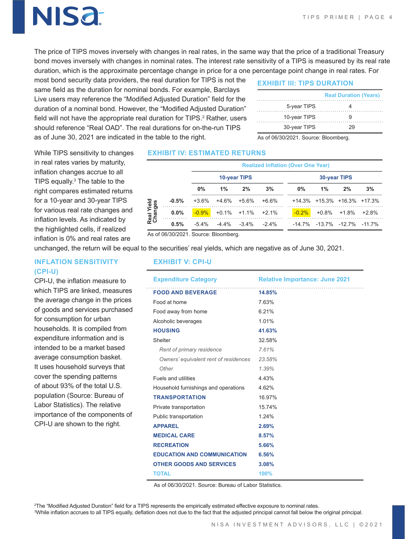## NISƏ

The price of TIPS moves inversely with changes in real rates, in the same way that the price of a traditional Treasury bond moves inversely with changes in nominal rates. The interest rate sensitivity of a TIPS is measured by its real rate duration, which is the approximate percentage change in price for a one percentage point change in real rates. For

most bond security data providers, the real duration for TIPS is not the same field as the duration for nominal bonds. For example, Barclays Live users may reference the "Modified Adjusted Duration" field for the duration of a nominal bond. However, the "Modified Adjusted Duration" field will not have the appropriate real duration for TIPS. $^{\rm 2}$  Rather, users should reference "Real OAD". The real durations for on-the-run TIPS as of June 30, 2021 are indicated in the table to the right.

#### **EXHIBIT III: TIPS DURATION**

|              | <b>Real Duration (Years)</b> |
|--------------|------------------------------|
| 5-year TIPS  |                              |
| 10-year TIPS |                              |
| 30-year TIPS | 29                           |

As of 06/30/2021. Source: Bloomberg.

While TIPS sensitivity to changes in real rates varies by maturity, inflation changes accrue to all TIPS equally.<sup>3</sup> The table to the right compares estimated returns for a 10-year and 30-year TIPS for various real rate changes and inflation levels. As indicated by the highlighted cells, if realized inflation is 0% and real rates are

#### **EXHIBIT IV: ESTIMATED RETURNS**

|                       |         | <b>Realized Inflation (Over One Year)</b> |          |                            |          |              |          |       |                                         |         |
|-----------------------|---------|-------------------------------------------|----------|----------------------------|----------|--------------|----------|-------|-----------------------------------------|---------|
|                       |         | 10-year TIPS                              |          |                            |          | 30-year TIPS |          |       |                                         |         |
|                       |         | $0\%$                                     | $1\%$    | 2%                         | 3%       |              | 0%       | $1\%$ | 2%                                      | 3%      |
| Real Yield<br>Changes | $-0.5%$ | $+3.6\%$                                  | $+4.6\%$ | $+5.6%$                    | $+6.6\%$ |              |          |       | $+14.3\%$ $+15.3\%$ $+16.3\%$ $+17.3\%$ |         |
|                       | $0.0\%$ | $-0.9\%$                                  |          | $+0.1\%$ $+1.1\%$ $+2.1\%$ |          |              | $-0.2\%$ |       | $+0.8\%$ $+1.8\%$                       | $+2.8%$ |
|                       | 0.5%    | $-5.4%$                                   | -4 4%    | $-3.4\%$                   | $-24%$   |              |          |       | $-14$ 7% $-13$ 7% $-12$ 7% $-11$ 7%     |         |

As of 06/30/2021. Source: Bloomberg.

unchanged, the return will be equal to the securities' real yields, which are negative as of June 30, 2021.

#### **INFLATION SENSITIVITY (CPI-U)**

CPI-U, the inflation measure to which TIPS are linked, measures the average change in the prices of goods and services purchased for consumption for urban households. It is compiled from expenditure information and is intended to be a market based average consumption basket. It uses household surveys that cover the spending patterns of about 93% of the total U.S. population (Source: Bureau of Labor Statistics). The relative importance of the components of CPI-U are shown to the right.

#### **EXHIBIT V: CPI-U**

| <b>Expenditure Category</b>           | <b>Relative Importance: June 2021</b> |  |  |  |  |
|---------------------------------------|---------------------------------------|--|--|--|--|
| <b>FOOD AND BEVERAGE</b>              | 14.85%                                |  |  |  |  |
| Food at home                          | 7.63%                                 |  |  |  |  |
| Food away from home                   | 6.21%                                 |  |  |  |  |
| Alcoholic beverages                   | 1.01%                                 |  |  |  |  |
| <b>HOUSING</b>                        | 41.63%                                |  |  |  |  |
| Shelter                               | 32.58%                                |  |  |  |  |
| Rent of primary residence             | 7.61%                                 |  |  |  |  |
| Owners' equivalent rent of residences | 23.58%                                |  |  |  |  |
| Other                                 | 1.39%                                 |  |  |  |  |
| Fuels and utilities                   | 4.43%                                 |  |  |  |  |
| Household furnishings and operations  | 4.62%                                 |  |  |  |  |
| <b>TRANSPORTATION</b>                 | 16.97%                                |  |  |  |  |
| Private transportation                | 15.74%                                |  |  |  |  |
| Public transportation                 | 124%                                  |  |  |  |  |
| <b>APPAREL</b>                        | 2.69%                                 |  |  |  |  |
| <b>MEDICAL CARE</b>                   | 8.57%                                 |  |  |  |  |
| <b>RECREATION</b>                     | 5.66%                                 |  |  |  |  |
| <b>EDUCATION AND COMMUNICATION</b>    | 6.56%                                 |  |  |  |  |
| <b>OTHER GOODS AND SERVICES</b>       | 3.08%                                 |  |  |  |  |
| <b>TOTAL</b>                          | 100%                                  |  |  |  |  |

As of 06/30/2021. Source: Bureau of Labor Statistics.

2 The "Modified Adjusted Duration" field for a TIPS represents the empirically estimated effective exposure to nominal rates. 3 While inflation accrues to all TIPS equally, deflation does not due to the fact that the adjusted principal cannot fall below the original principal.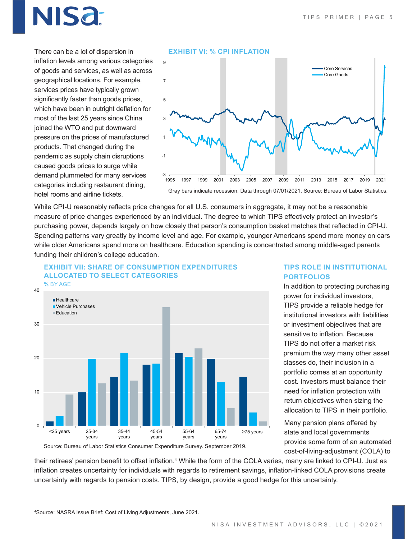### NISƏ

There can be a lot of dispersion in inflation levels among various categories of goods and services, as well as across geographical locations. For example, services prices have typically grown significantly faster than goods prices, which have been in outright deflation for most of the last 25 years since China joined the WTO and put downward pressure on the prices of manufactured products. That changed during the pandemic as supply chain disruptions caused goods prices to surge while demand plummeted for many services categories including restaurant dining, hotel rooms and airline tickets.



While CPI-U reasonably reflects price changes for all U.S. consumers in aggregate, it may not be a reasonable measure of price changes experienced by an individual. The degree to which TIPS effectively protect an investor's purchasing power, depends largely on how closely that person's consumption basket matches that reflected in CPI-U. Spending patterns vary greatly by income level and age. For example, younger Americans spend more money on cars while older Americans spend more on healthcare. Education spending is concentrated among middle-aged parents funding their children's college education.



#### **TIPS ROLE IN INSTITUTIONAL PORTFOLIOS**

In addition to protecting purchasing power for individual investors, TIPS provide a reliable hedge for institutional investors with liabilities or investment objectives that are sensitive to inflation. Because TIPS do not offer a market risk premium the way many other asset classes do, their inclusion in a portfolio comes at an opportunity cost. Investors must balance their need for inflation protection with return objectives when sizing the allocation to TIPS in their portfolio.

Many pension plans offered by state and local governments provide some form of an automated cost-of-living-adjustment (COLA) to

Source: Bureau of Labor Statistics Consumer Expenditure Survey. September 2019.

their retirees' pension benefit to offset inflation.<sup>4</sup> While the form of the COLA varies, many are linked to CPI-U. Just as inflation creates uncertainty for individuals with regards to retirement savings, inflation-linked COLA provisions create uncertainty with regards to pension costs. TIPS, by design, provide a good hedge for this uncertainty.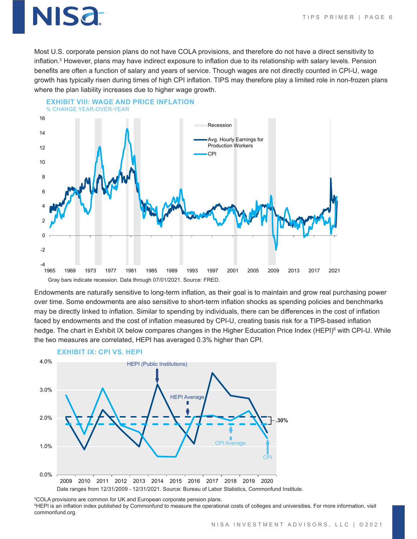### IISa<del>.</del>

Most U.S. corporate pension plans do not have COLA provisions, and therefore do not have a direct sensitivity to inflation.<sup>5</sup> However, plans may have indirect exposure to inflation due to its relationship with salary levels. Pension benefits are often a function of salary and years of service. Though wages are not directly counted in CPI-U, wage growth has typically risen during times of high CPI inflation. TIPS may therefore play a limited role in non-frozen plans where the plan liability increases due to higher wage growth.



#### **EXHIBIT VIII: WAGE AND PRICE INFLATION** % CHANGE YEAR-OVER-YEAR

Endowments are naturally sensitive to long-term inflation, as their goal is to maintain and grow real purchasing power over time. Some endowments are also sensitive to short-term inflation shocks as spending policies and benchmarks may be directly linked to inflation. Similar to spending by individuals, there can be differences in the cost of inflation faced by endowments and the cost of inflation measured by CPI-U, creating basis risk for a TIPS-based inflation hedge. The chart in Exhibit IX below compares changes in the Higher Education Price Index (HEPI)<sup>6</sup> with CPI-U. While the two measures are correlated, HEPI has averaged 0.3% higher than CPI.



#### **EXHIBIT IX: CPI VS. HEPI**

5 COLA provisions are common for UK and European corporate pension plans.

 $^6$ HEPI is an inflation index published by Commonfund to measure the operational costs of colleges and universities. For more information, visit commonfund.org.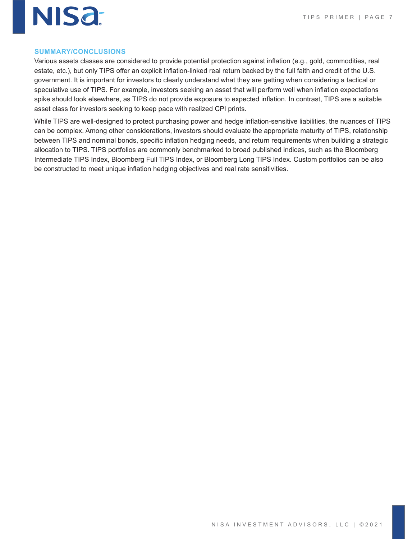

#### **SUMMARY/CONCLUSIONS**

Various assets classes are considered to provide potential protection against inflation (e.g., gold, commodities, real estate, etc.), but only TIPS offer an explicit inflation-linked real return backed by the full faith and credit of the U.S. government. It is important for investors to clearly understand what they are getting when considering a tactical or speculative use of TIPS. For example, investors seeking an asset that will perform well when inflation expectations spike should look elsewhere, as TIPS do not provide exposure to expected inflation. In contrast, TIPS are a suitable asset class for investors seeking to keep pace with realized CPI prints.

While TIPS are well-designed to protect purchasing power and hedge inflation-sensitive liabilities, the nuances of TIPS can be complex. Among other considerations, investors should evaluate the appropriate maturity of TIPS, relationship between TIPS and nominal bonds, specific inflation hedging needs, and return requirements when building a strategic allocation to TIPS. TIPS portfolios are commonly benchmarked to broad published indices, such as the Bloomberg Intermediate TIPS Index, Bloomberg Full TIPS Index, or Bloomberg Long TIPS Index. Custom portfolios can be also be constructed to meet unique inflation hedging objectives and real rate sensitivities.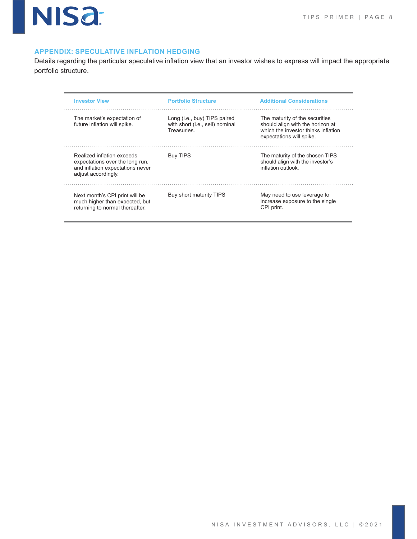

#### **APPENDIX: SPECULATIVE INFLATION HEDGING**

Details regarding the particular speculative inflation view that an investor wishes to express will impact the appropriate portfolio structure.

| <b>Investor View</b>                                                                                                     | <b>Portfolio Structure</b>                                                    | <b>Additional Considerations</b>                                                                                                      |
|--------------------------------------------------------------------------------------------------------------------------|-------------------------------------------------------------------------------|---------------------------------------------------------------------------------------------------------------------------------------|
| The market's expectation of<br>future inflation will spike.                                                              | Long (i.e., buy) TIPS paired<br>with short (i.e., sell) nominal<br>Treasuries | The maturity of the securities<br>should align with the horizon at<br>which the investor thinks inflation<br>expectations will spike. |
| Realized inflation exceeds<br>expectations over the long run,<br>and inflation expectations never<br>adjust accordingly. | <b>Buy TIPS</b>                                                               | The maturity of the chosen TIPS<br>should align with the investor's<br>inflation outlook                                              |
| Next month's CPI print will be<br>much higher than expected, but<br>returning to normal thereafter.                      | Buy short maturity TIPS                                                       | May need to use leverage to<br>increase exposure to the single<br>CPI print.                                                          |